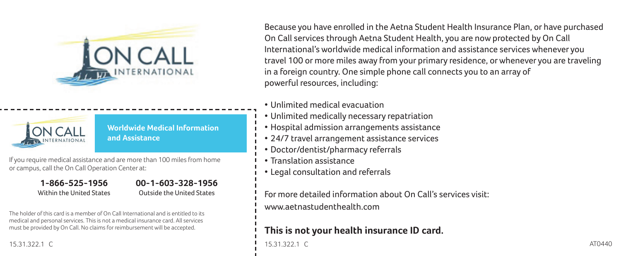



**Worldwide Medical Information and Assistance**

If you require medical assistance and are more than 100 miles from home or campus, call the On Call Operation Center at:

> **1-866-525-1956** Within the United States

**00-1-603-328-1956** Outside the United States

The holder of this card is a member of On Call International and is entitled to its medical and personal services. This is not a medical insurance card. All services must be provided by On Call. No claims for reimbursement will be accepted.

15.31.322.1 C

Because you have enrolled in the Aetna Student Health Insurance Plan, or have purchased On Call services through Aetna Student Health, you are now protected by On Call International's worldwide medical information and assistance services whenever you travel 100 or more miles away from your primary residence, or whenever you are traveling in a foreign country. One simple phone call connects you to an array of powerful resources, including:

- Unlimited medical evacuation
- Unlimited medically necessary repatriation
- Hospital admission arrangements assistance
- 24/7 travel arrangement assistance services
- Doctor/dentist/pharmacy referrals
- Translation assistance
- Legal consultation and referrals

For more detailed information about On Call's services visit: www.aetnastudenthealth.com

## **This is not your health insurance ID card.**

15.31.322.1 C AT0440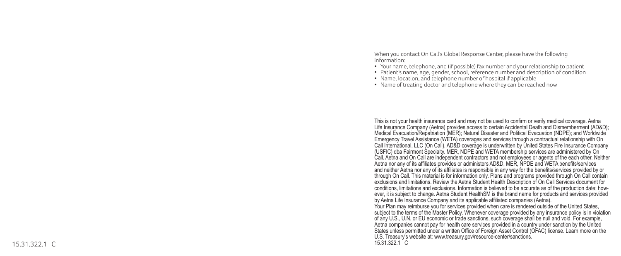When you contact On Call's Global Response Center, please have the following information:

- Your name, telephone, and (if possible) fax number and your relationship to patient
- Patient's name, age, gender, school, reference number and description of condition
- Name, location, and telephone number of hospital if applicable
- Name of treating doctor and telephone where they can be reached now

This is not your health insurance card and may not be used to confirm or verify medical coverage. Aetna Life Insurance Company (Aetna) provides access to certain Accidental Death and Dismemberment (AD&D); Medical Evacuation/Repatriation (MER); Natural Disaster and Political Evacuation (NDPE); and Worldwide Emergency Travel Assistance (WETA) coverages and services through a contractual relationship with On Call International, LLC (On Call). AD&D coverage is underwritten by United States Fire Insurance Company (USFIC) dba Fairmont Specialty. MER, NDPE and WETA membership services are administered by On Call. Aetna and On Call are independent contractors and not employees or agents of the each other. Neither Aetna nor any of its affiliates provides or administers AD&D, MER, NPDE and WETA benefits/services and neither Aetna nor any of its affiliates is responsible in any way for the benefits/services provided by or through On Call. This material is for information only. Plans and programs provided through On Call contain exclusions and limitations. Review the Aetna Student Health Description of On Call Services document for conditions, limitations and exclusions. Information is believed to be accurate as of the production date; however, it is subject to change. Aetna Student HealthSM is the brand name for products and services provided by Aetna Life Insurance Company and its applicable affiliated companies (Aetna). Your Plan may reimburse you for services provided when care is rendered outside of the United States, subject to the terms of the Master Policy. Whenever coverage provided by any insurance policy is in violation of any U.S., U.N. or EU economic or trade sanctions, such coverage shall be null and void. For example, Aetna companies cannot pay for health care services provided in a country under sanction by the United States unless permitted under a written Office of Foreign Asset Control (OFAC) license. Learn more on the U.S. Treasury's website at: www.treasury.gov/resource-center/sanctions.  $C$  15.31.322.1  $15.31.3221$  C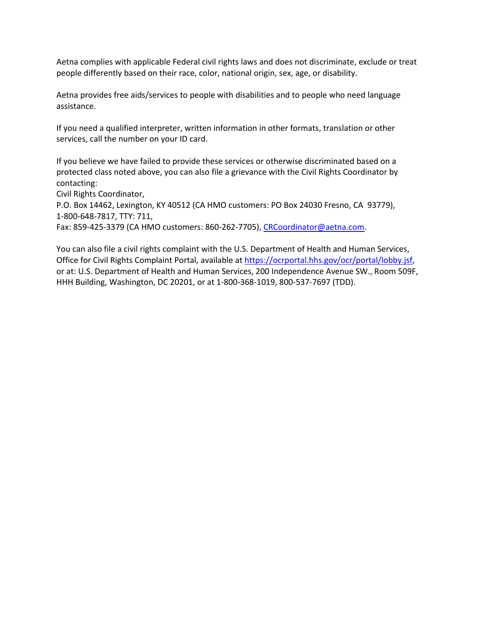Aetna complies with applicable Federal civil rights laws and does not discriminate, exclude or treat people differently based on their race, color, national origin, sex, age, or disability.

Aetna provides free aids/services to people with disabilities and to people who need language assistance.

If you need a qualified interpreter, written information in other formats, translation or other services, call the number on your ID card.

If you believe we have failed to provide these services or otherwise discriminated based on a protected class noted above, you can also file a grievance with the Civil Rights Coordinator by contacting:

Civil Rights Coordinator,

P.O. Box 14462, Lexington, KY 40512 (CA HMO customers: PO Box 24030 Fresno, CA 93779), 1-800-648-7817, TTY: 711,

Fax: 859-425-3379 (CA HMO customers: 860-262-7705), [CRCoordinator@aetna.com.](mailto:CRCoordinator@aetna.com)

You can also file a civil rights complaint with the U.S. Department of Health and Human Services, Office for Civil Rights Complaint Portal, available at [https://ocrportal.hhs.gov/ocr/portal/lobby.jsf,](https://ocrportal.hhs.gov/ocr/portal/lobby.jsf) or at: U.S. Department of Health and Human Services, 200 Independence Avenue SW., Room 509F, HHH Building, Washington, DC 20201, or at 1-800-368-1019, 800-537-7697 (TDD).